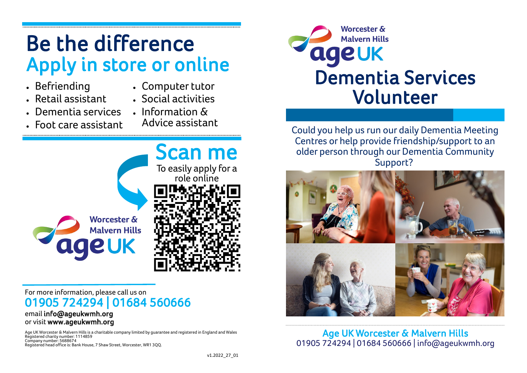# Be the difference Apply in store or online

- Befriending
- Computer tutor
- Retail assistant
- Social activities
- Dementia services • Foot care assistant
- Information & Advice assistant



#### For more information, please call us on 01905 724294 | 01684 560666 email info@ageukwmh.org

# or visit www.ageukwmh.org

Age UK Worcester & Malvern Hills is a charitable company limited by guarantee and registered in England and Wales Registered charity number: 1114859 Company number: 5688674 Registered head office is: Bank House, 7 Shaw Street, Worcester, WR1 3QQ.



Could you help us run our daily Dementia Meeting Centres or help provide friendship/support to an older person through our Dementia Community Support?



Age UK Worcester & Malvern Hills 01905 724294 | 01684 560666 | info@ageukwmh.org